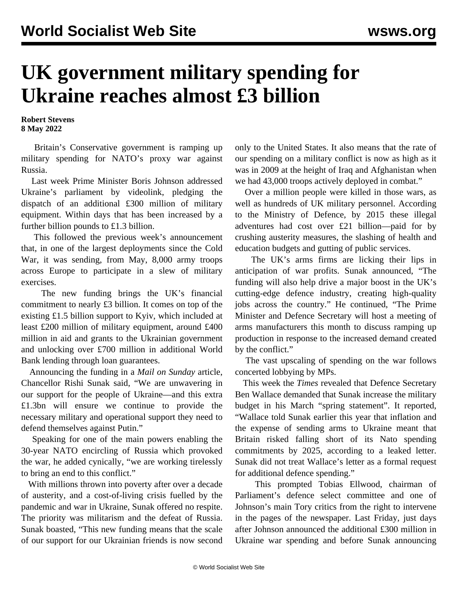## **UK government military spending for Ukraine reaches almost £3 billion**

**Robert Stevens 8 May 2022**

 Britain's Conservative government is ramping up military spending for NATO's proxy war against Russia.

 Last week Prime Minister Boris Johnson addressed Ukraine's parliament by videolink, pledging the dispatch of an additional £300 million of military equipment. Within days that has been increased by a further billion pounds to £1.3 billion.

 This followed the previous week's announcement that, in one of the largest deployments since the Cold War, it was sending, from May, 8,000 army troops across Europe to participate in a slew of military exercises.

 The new funding brings the UK's financial commitment to nearly £3 billion. It comes on top of the existing £1.5 billion support to Kyiv, which included at least £200 million of military equipment, around £400 million in aid and grants to the Ukrainian government and unlocking over £700 million in additional World Bank lending through loan guarantees.

 Announcing the funding in a *Mail on Sunday* article, Chancellor Rishi Sunak said, "We are unwavering in our support for the people of Ukraine—and this extra £1.3bn will ensure we continue to provide the necessary military and operational support they need to defend themselves against Putin."

 Speaking for one of the main powers enabling the 30-year NATO encircling of Russia which provoked the war, he added cynically, "we are working tirelessly to bring an end to this conflict."

 With millions thrown into poverty after over a decade of austerity, and a cost-of-living crisis fuelled by the pandemic and war in Ukraine, Sunak offered no respite. The priority was militarism and the defeat of Russia. Sunak boasted, "This new funding means that the scale of our support for our Ukrainian friends is now second only to the United States. It also means that the rate of our spending on a military conflict is now as high as it was in 2009 at the height of Iraq and Afghanistan when we had 43,000 troops actively deployed in combat."

 Over a million people were killed in those wars, as well as hundreds of UK military personnel. According to the Ministry of Defence, by 2015 these illegal adventures had cost over £21 billion—paid for by crushing austerity measures, the slashing of health and education budgets and gutting of public services.

 The UK's arms firms are licking their lips in anticipation of war profits. Sunak announced, "The funding will also help drive a major boost in the UK's cutting-edge defence industry, creating high-quality jobs across the country." He continued, "The Prime Minister and Defence Secretary will host a meeting of arms manufacturers this month to discuss ramping up production in response to the increased demand created by the conflict."

 The vast upscaling of spending on the war follows concerted lobbying by MPs.

 This week the *Times* revealed that Defence Secretary Ben Wallace demanded that Sunak increase the military budget in his March "spring statement". It reported, "Wallace told Sunak earlier this year that inflation and the expense of sending arms to Ukraine meant that Britain risked falling short of its Nato spending commitments by 2025, according to a leaked letter. Sunak did not treat Wallace's letter as a formal request for additional defence spending."

 This prompted Tobias Ellwood, chairman of Parliament's defence select committee and one of Johnson's main Tory critics from the right to intervene in the pages of the newspaper. Last Friday, just days after Johnson announced the additional £300 million in Ukraine war spending and before Sunak announcing